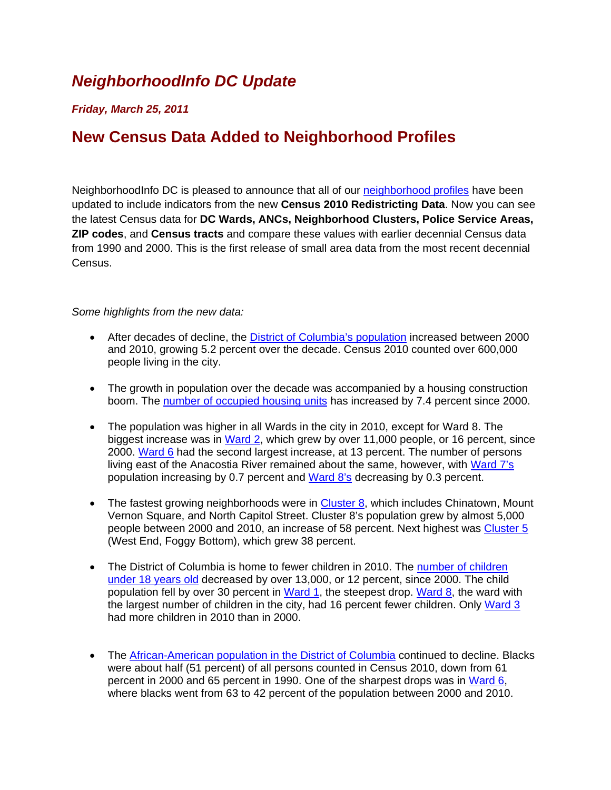## *NeighborhoodInfo DC Update*

## *Friday, March 25, 2011*

## **New Census Data Added to Neighborhood Profiles**

NeighborhoodInfo DC is pleased to announce that all of our neighborhood profiles have been updated to include indicators from the new **Census 2010 Redistricting Data**. Now you can see the latest Census data for **DC Wards, ANCs, Neighborhood Clusters, Police Service Areas, ZIP codes**, and **Census tracts** and compare these values with earlier decennial Census data from 1990 and 2000. This is the first release of small area data from the most recent decennial Census.

## *Some highlights from the new data:*

- After decades of decline, the District of Columbia's population increased between 2000 and 2010, growing 5.2 percent over the decade. Census 2010 counted over 600,000 people living in the city.
- The growth in population over the decade was accompanied by a housing construction boom. The number of occupied housing units has increased by 7.4 percent since 2000.
- The population was higher in all Wards in the city in 2010, except for Ward 8. The biggest increase was in Ward 2, which grew by over 11,000 people, or 16 percent, since 2000. Ward 6 had the second largest increase, at 13 percent. The number of persons living east of the Anacostia River remained about the same, however, with Ward 7's population increasing by 0.7 percent and Ward 8's decreasing by 0.3 percent.
- The fastest growing neighborhoods were in **Cluster 8**, which includes Chinatown, Mount Vernon Square, and North Capitol Street. Cluster 8's population grew by almost 5,000 people between 2000 and 2010, an increase of 58 percent. Next highest was Cluster 5 (West End, Foggy Bottom), which grew 38 percent.
- The District of Columbia is home to fewer children in 2010. The number of children under 18 years old decreased by over 13,000, or 12 percent, since 2000. The child population fell by over 30 percent in Ward 1, the steepest drop. Ward 8, the ward with the largest number of children in the city, had 16 percent fewer children. Only Ward 3 had more children in 2010 than in 2000.
- The African-American population in the District of Columbia continued to decline. Blacks were about half (51 percent) of all persons counted in Census 2010, down from 61 percent in 2000 and 65 percent in 1990. One of the sharpest drops was in Ward 6, where blacks went from 63 to 42 percent of the population between 2000 and 2010.